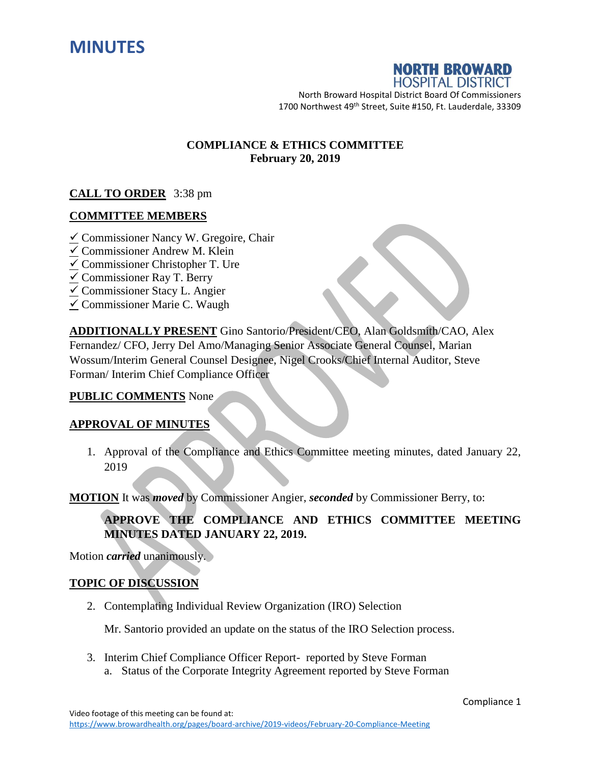



North Broward Hospital District Board Of Commissioners 1700 Northwest 49<sup>th</sup> Street, Suite #150, Ft. Lauderdale, 33309

## **COMPLIANCE & ETHICS COMMITTEE February 20, 2019**

## **CALL TO ORDER** 3:38 pm

## **COMMITTEE MEMBERS**

- $\angle$  Commissioner Nancy W. Gregoire, Chair
- $\checkmark$  Commissioner Andrew M. Klein
- $\angle$  Commissioner Christopher T. Ure
- $\checkmark$  Commissioner Ray T. Berry
- $\checkmark$  Commissioner Stacy L. Angier
- $\checkmark$  Commissioner Marie C. Waugh

**ADDITIONALLY PRESENT** Gino Santorio/President/CEO, Alan Goldsmith/CAO, Alex Fernandez/ CFO, Jerry Del Amo/Managing Senior Associate General Counsel, Marian Wossum/Interim General Counsel Designee, Nigel Crooks/Chief Internal Auditor, Steve Forman/ Interim Chief Compliance Officer

### **PUBLIC COMMENTS** None

### **APPROVAL OF MINUTES**

1. Approval of the Compliance and Ethics Committee meeting minutes, dated January 22, 2019

**MOTION** It was *moved* by Commissioner Angier, *seconded* by Commissioner Berry, to:

## **APPROVE THE COMPLIANCE AND ETHICS COMMITTEE MEETING MINUTES DATED JANUARY 22, 2019.**

Motion *carried* unanimously.

### **TOPIC OF DISCUSSION**

2. Contemplating Individual Review Organization (IRO) Selection

Mr. Santorio provided an update on the status of the IRO Selection process.

- 3. Interim Chief Compliance Officer Report- reported by Steve Forman
	- a. Status of the Corporate Integrity Agreement reported by Steve Forman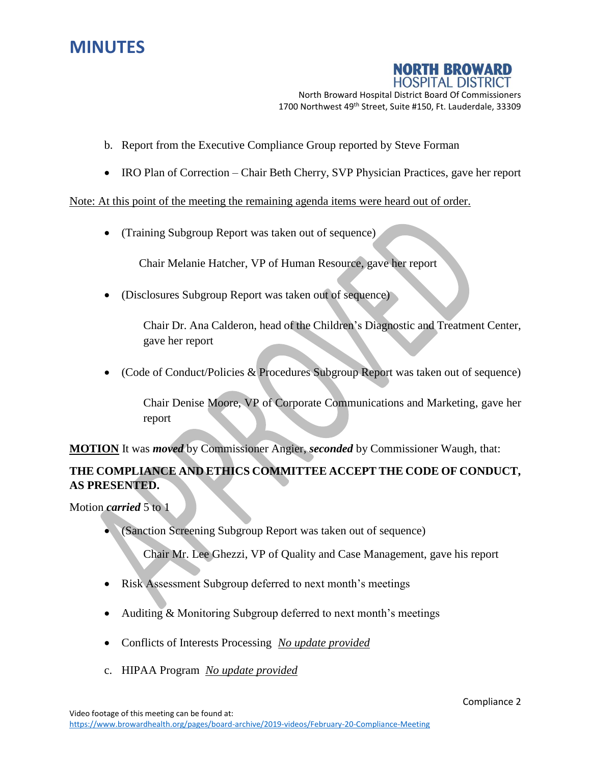# **MINUTES**



North Broward Hospital District Board Of Commissioners 1700 Northwest 49<sup>th</sup> Street, Suite #150, Ft. Lauderdale, 33309

- b. Report from the Executive Compliance Group reported by Steve Forman
- IRO Plan of Correction Chair Beth Cherry, SVP Physician Practices, gave her report

Note: At this point of the meeting the remaining agenda items were heard out of order.

(Training Subgroup Report was taken out of sequence)

Chair Melanie Hatcher, VP of Human Resource, gave her report

(Disclosures Subgroup Report was taken out of sequence)

Chair Dr. Ana Calderon, head of the Children's Diagnostic and Treatment Center, gave her report

(Code of Conduct/Policies & Procedures Subgroup Report was taken out of sequence)

Chair Denise Moore, VP of Corporate Communications and Marketing, gave her report

**MOTION** It was *moved* by Commissioner Angier, *seconded* by Commissioner Waugh, that:

# **THE COMPLIANCE AND ETHICS COMMITTEE ACCEPT THE CODE OF CONDUCT, AS PRESENTED.**

Motion *carried* 5 to 1

(Sanction Screening Subgroup Report was taken out of sequence)

Chair Mr. Lee Ghezzi, VP of Quality and Case Management, gave his report

- Risk Assessment Subgroup deferred to next month's meetings
- Auditing & Monitoring Subgroup deferred to next month's meetings
- Conflicts of Interests Processing *No update provided*
- c. HIPAA Program *No update provided*